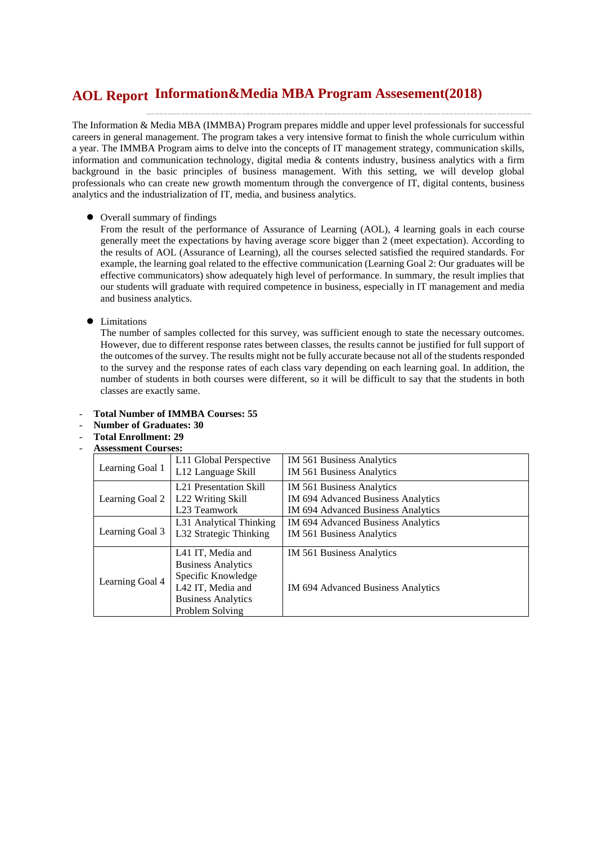# **Information&Media MBA Program Assesement(2018) AOL Report**

The Information & Media MBA (IMMBA) Program prepares middle and upper level professionals for successful careers in general management. The program takes a very intensive format to finish the whole curriculum within a year. The IMMBA Program aims to delve into the concepts of IT management strategy, communication skills, information and communication technology, digital media & contents industry, business analytics with a firm background in the basic principles of business management. With this setting, we will develop global professionals who can create new growth momentum through the convergence of IT, digital contents, business analytics and the industrialization of IT, media, and business analytics.

Overall summary of findings

From the result of the performance of Assurance of Learning (AOL), 4 learning goals in each course generally meet the expectations by having average score bigger than 2 (meet expectation). According to the results of AOL (Assurance of Learning), all the courses selected satisfied the required standards. For example, the learning goal related to the effective communication (Learning Goal 2: Our graduates will be effective communicators) show adequately high level of performance. In summary, the result implies that our students will graduate with required competence in business, especially in IT management and media and business analytics.

#### $\bullet$  Limitations

The number of samples collected for this survey, was sufficient enough to state the necessary outcomes. However, due to different response rates between classes, the results cannot be justified for full support of the outcomes of the survey. The results might not be fully accurate because not all of the students responded to the survey and the response rates of each class vary depending on each learning goal. In addition, the number of students in both courses were different, so it will be difficult to say that the students in both classes are exactly same.

- **Total Number of IMMBA Courses: 55**
- **Number of Graduates: 30**
- **Total Enrollment: 29**
- **Assessment Courses:**

| Learning Goal 1 | L11 Global Perspective<br>L12 Language Skill                                                                                              | IM 561 Business Analytics<br>IM 561 Business Analytics                                                |
|-----------------|-------------------------------------------------------------------------------------------------------------------------------------------|-------------------------------------------------------------------------------------------------------|
| Learning Goal 2 | L <sub>21</sub> Presentation Skill<br>L22 Writing Skill<br>L23 Teamwork                                                                   | IM 561 Business Analytics<br>IM 694 Advanced Business Analytics<br>IM 694 Advanced Business Analytics |
| Learning Goal 3 | L31 Analytical Thinking<br>L32 Strategic Thinking                                                                                         | IM 694 Advanced Business Analytics<br>IM 561 Business Analytics                                       |
| Learning Goal 4 | L41 IT, Media and<br><b>Business Analytics</b><br>Specific Knowledge<br>L42 IT, Media and<br><b>Business Analytics</b><br>Problem Solving | IM 561 Business Analytics<br><b>IM 694 Advanced Business Analytics</b>                                |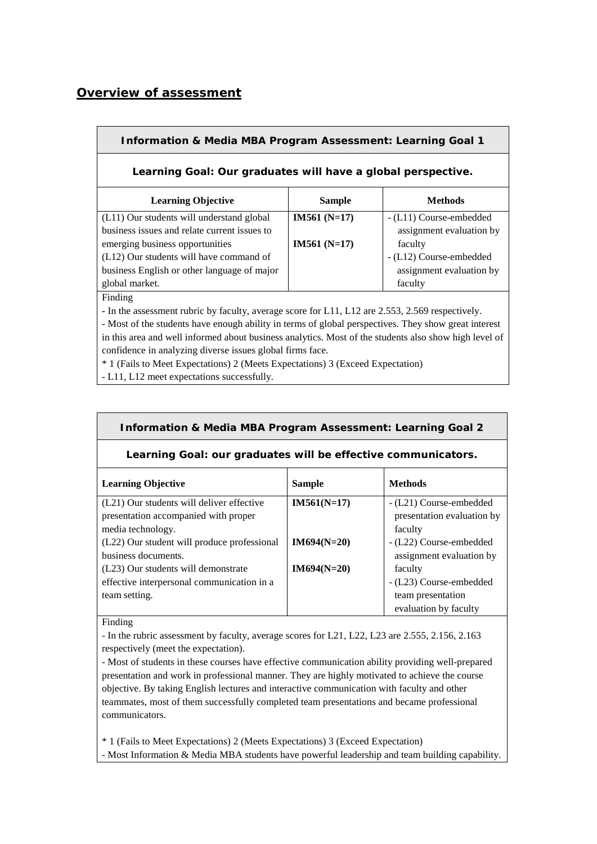# *Overview of assessment*

## **Information & Media MBA Program Assessment: Learning Goal 1**

### **Learning Goal: Our graduates will have a global perspective.**

| <b>Learning Objective</b>                    | <b>Sample</b> | <b>Methods</b>           |
|----------------------------------------------|---------------|--------------------------|
| (L11) Our students will understand global    | $IM561(N=17)$ | - (L11) Course-embedded  |
| business issues and relate current issues to |               | assignment evaluation by |
| emerging business opportunities              | $IM561(N=17)$ | faculty                  |
| (L12) Our students will have command of      |               | - (L12) Course-embedded  |
| business English or other language of major  |               | assignment evaluation by |
| global market.                               |               | faculty                  |

Finding

**-** In the assessment rubric by faculty, average score for L11, L12 are 2.553, 2.569 respectively.

- Most of the students have enough ability in terms of global perspectives. They show great interest in this area and well informed about business analytics. Most of the students also show high level of confidence in analyzing diverse issues global firms face.

\* 1 (Fails to Meet Expectations) 2 (Meets Expectations) 3 (Exceed Expectation)

- L11, L12 meet expectations successfully.

# **Information & Media MBA Program Assessment: Learning Goal 2**

#### **Learning Goal: our graduates will be effective communicators.**

| <b>Learning Objective</b>                   | <b>Sample</b> | <b>Methods</b>             |
|---------------------------------------------|---------------|----------------------------|
| (L21) Our students will deliver effective   | $IM561(N=17)$ | - (L21) Course-embedded    |
| presentation accompanied with proper        |               | presentation evaluation by |
| media technology.                           |               | faculty                    |
| (L22) Our student will produce professional | $IM694(N=20)$ | - (L22) Course-embedded    |
| business documents.                         |               | assignment evaluation by   |
| (L23) Our students will demonstrate         | $IM694(N=20)$ | faculty                    |
| effective interpersonal communication in a  |               | - (L23) Course-embedded    |
| team setting.                               |               | team presentation          |
|                                             |               | evaluation by faculty      |

Finding

- In the rubric assessment by faculty, average scores for L21, L22, L23 are 2.555, 2.156, 2.163 respectively (meet the expectation).

- Most of students in these courses have effective communication ability providing well-prepared presentation and work in professional manner. They are highly motivated to achieve the course objective. By taking English lectures and interactive communication with faculty and other teammates, most of them successfully completed team presentations and became professional communicators.

\* 1 (Fails to Meet Expectations) 2 (Meets Expectations) 3 (Exceed Expectation) - Most Information & Media MBA students have powerful leadership and team building capability.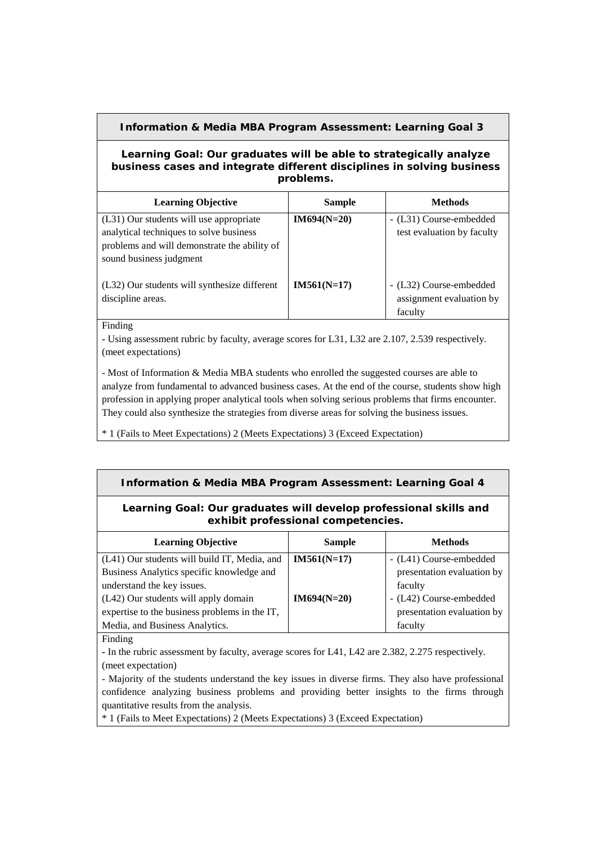## **Information & Media MBA Program Assessment: Learning Goal 3**

#### **Learning Goal: Our graduates will be able to strategically analyze business cases and integrate different disciplines in solving business problems.**

| <b>Learning Objective</b>                                                                                                                                     | <b>Sample</b> | <b>Methods</b>                                                 |
|---------------------------------------------------------------------------------------------------------------------------------------------------------------|---------------|----------------------------------------------------------------|
| (L31) Our students will use appropriate<br>analytical techniques to solve business<br>problems and will demonstrate the ability of<br>sound business judgment | $IM694(N=20)$ | - (L31) Course-embedded<br>test evaluation by faculty          |
| (L32) Our students will synthesize different<br>discipline areas.                                                                                             | $IM561(N=17)$ | - (L32) Course-embedded<br>assignment evaluation by<br>faculty |

Finding

**-** Using assessment rubric by faculty, average scores for L31, L32 are 2.107, 2.539 respectively. (meet expectations)

- Most of Information & Media MBA students who enrolled the suggested courses are able to analyze from fundamental to advanced business cases. At the end of the course, students show high profession in applying proper analytical tools when solving serious problems that firms encounter. They could also synthesize the strategies from diverse areas for solving the business issues.

\* 1 (Fails to Meet Expectations) 2 (Meets Expectations) 3 (Exceed Expectation)

#### **Information & Media MBA Program Assessment: Learning Goal 4**

### **Learning Goal: Our graduates will develop professional skills and exhibit professional competencies.**

| <b>Learning Objective</b>                     | <b>Sample</b> | <b>Methods</b>             |
|-----------------------------------------------|---------------|----------------------------|
| (L41) Our students will build IT, Media, and  | $IM561(N=17)$ | - (L41) Course-embedded    |
| Business Analytics specific knowledge and     |               | presentation evaluation by |
| understand the key issues.                    |               | faculty                    |
| (L42) Our students will apply domain          | $IM694(N=20)$ | - (L42) Course-embedded    |
| expertise to the business problems in the IT, |               | presentation evaluation by |
| Media, and Business Analytics.                |               | faculty                    |

Finding

**-** In the rubric assessment by faculty, average scores for L41, L42 are 2.382, 2.275 respectively. (meet expectation)

- Majority of the students understand the key issues in diverse firms. They also have professional confidence analyzing business problems and providing better insights to the firms through quantitative results from the analysis.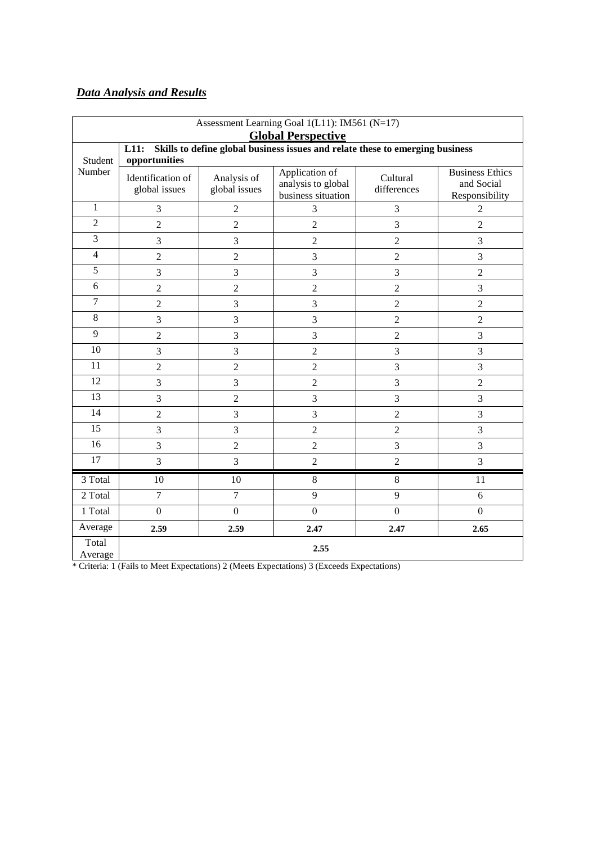# *Data Analysis and Results*

| Assessment Learning Goal 1(L11): IM561 (N=17)<br><b>Global Perspective</b> |                                                                                                        |                              |                                                            |                         |                                                        |  |  |  |
|----------------------------------------------------------------------------|--------------------------------------------------------------------------------------------------------|------------------------------|------------------------------------------------------------|-------------------------|--------------------------------------------------------|--|--|--|
| Student                                                                    | L11:<br>Skills to define global business issues and relate these to emerging business<br>opportunities |                              |                                                            |                         |                                                        |  |  |  |
| Number                                                                     | Identification of<br>global issues                                                                     | Analysis of<br>global issues | Application of<br>analysis to global<br>business situation | Cultural<br>differences | <b>Business Ethics</b><br>and Social<br>Responsibility |  |  |  |
| $\mathbf{1}$                                                               | 3                                                                                                      | $\overline{2}$               | 3                                                          | 3                       | $\overline{2}$                                         |  |  |  |
| $\overline{2}$                                                             | $\overline{2}$                                                                                         | $\overline{2}$               | $\overline{2}$                                             | 3                       | $\overline{2}$                                         |  |  |  |
| 3                                                                          | 3                                                                                                      | 3                            | $\sqrt{2}$                                                 | $\overline{2}$          | 3                                                      |  |  |  |
| $\overline{4}$                                                             | $\overline{c}$                                                                                         | $\sqrt{2}$                   | $\mathfrak{Z}$                                             | $\boldsymbol{2}$        | 3                                                      |  |  |  |
| $\overline{5}$                                                             | 3<br>3<br>3<br>3<br>$\overline{2}$                                                                     |                              |                                                            |                         |                                                        |  |  |  |
| 6                                                                          | $\overline{c}$<br>$\overline{c}$<br>$\overline{2}$<br>3<br>$\sqrt{2}$                                  |                              |                                                            |                         |                                                        |  |  |  |
| $\tau$                                                                     | $\sqrt{2}$                                                                                             | 3                            | $\mathfrak{Z}$                                             | $\overline{2}$          | $\overline{2}$                                         |  |  |  |
| 8                                                                          | 3                                                                                                      | 3                            | 3                                                          | $\overline{2}$          | $\overline{2}$                                         |  |  |  |
| 9                                                                          | $\overline{c}$                                                                                         | 3                            | 3                                                          | $\overline{2}$          | 3                                                      |  |  |  |
| 10                                                                         | 3                                                                                                      | 3                            | $\overline{2}$                                             | 3                       | 3                                                      |  |  |  |
| 11                                                                         | $\overline{c}$                                                                                         | $\overline{2}$               | $\overline{2}$                                             | 3                       | 3                                                      |  |  |  |
| 12                                                                         | 3                                                                                                      | 3                            | $\overline{2}$                                             | 3                       | $\overline{2}$                                         |  |  |  |
| 13                                                                         | 3                                                                                                      | $\overline{2}$               | 3                                                          | 3                       | 3                                                      |  |  |  |
| 14                                                                         | $\sqrt{2}$                                                                                             | $\overline{3}$               | 3                                                          | $\sqrt{2}$              | 3                                                      |  |  |  |
| 15                                                                         | 3                                                                                                      | $\overline{3}$               | $\overline{c}$                                             | $\overline{2}$          | 3                                                      |  |  |  |
| 16                                                                         | 3                                                                                                      | $\overline{c}$               | $\overline{2}$                                             | 3                       | 3                                                      |  |  |  |
| 17                                                                         | 3                                                                                                      | 3                            | $\overline{c}$                                             | $\overline{2}$          | $\overline{3}$                                         |  |  |  |
| 3 Total                                                                    | 10                                                                                                     | 10                           | 8                                                          | $\,8\,$                 | 11                                                     |  |  |  |
| 2 Total                                                                    | $\overline{7}$                                                                                         | $\overline{7}$               | 9                                                          | 9                       | 6                                                      |  |  |  |
| 1 Total                                                                    | $\mathbf{0}$                                                                                           | $\boldsymbol{0}$             | $\boldsymbol{0}$                                           | $\boldsymbol{0}$        | $\mathbf{0}$                                           |  |  |  |
| Average                                                                    | 2.59                                                                                                   | 2.59                         | 2.47                                                       | 2.47                    | 2.65                                                   |  |  |  |
| Total<br>Average                                                           | 2.55                                                                                                   |                              |                                                            |                         |                                                        |  |  |  |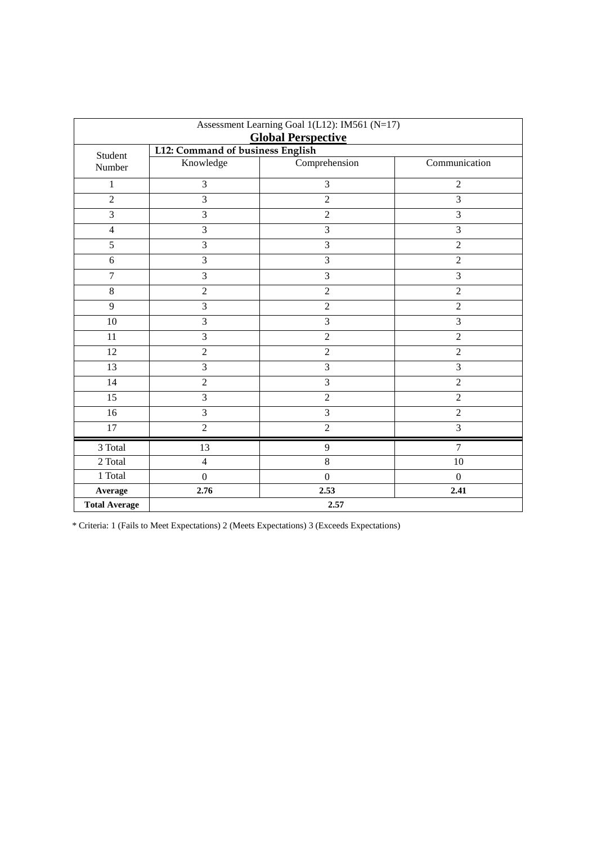| Assessment Learning Goal 1(L12): IM561 (N=17)<br><b>Global Perspective</b> |                                  |                |                         |  |  |
|----------------------------------------------------------------------------|----------------------------------|----------------|-------------------------|--|--|
|                                                                            | L12: Command of business English |                |                         |  |  |
| Student<br>Number                                                          | Knowledge                        | Comprehension  | Communication           |  |  |
| $\mathbf{1}$                                                               | 3                                | 3              | $\overline{2}$          |  |  |
| $\overline{2}$                                                             | 3                                | $\overline{c}$ | 3                       |  |  |
| $\overline{3}$                                                             | $\overline{3}$                   | $\overline{2}$ | $\overline{3}$          |  |  |
| $\overline{4}$                                                             | 3                                | 3              | 3                       |  |  |
| 5                                                                          | 3                                | 3              | $\overline{2}$          |  |  |
| 6                                                                          | 3                                | 3              | $\overline{2}$          |  |  |
| $\overline{7}$                                                             | 3                                | 3              | 3                       |  |  |
| $\,8\,$                                                                    | $\overline{2}$                   | $\overline{2}$ | $\overline{2}$          |  |  |
| 9                                                                          | 3                                | $\overline{2}$ | $\overline{2}$          |  |  |
| 10                                                                         | 3                                | 3              | $\overline{3}$          |  |  |
| 11                                                                         | 3                                | $\overline{2}$ | $\overline{2}$          |  |  |
| 12                                                                         | $\overline{2}$                   | $\overline{2}$ | $\overline{2}$          |  |  |
| 13                                                                         | 3                                | $\overline{3}$ | $\overline{\mathbf{3}}$ |  |  |
| 14                                                                         | $\overline{2}$                   | 3              | $\overline{2}$          |  |  |
| 15                                                                         | 3                                | $\overline{2}$ | $\overline{2}$          |  |  |
| 16                                                                         | 3                                | 3              | $\overline{2}$          |  |  |
| 17                                                                         | $\overline{2}$                   | $\overline{2}$ | $\overline{\mathbf{3}}$ |  |  |
| 3 Total                                                                    | 13                               | 9              | $\overline{7}$          |  |  |
| 2 Total                                                                    | $\overline{4}$                   | $8\,$          | 10                      |  |  |
| 1 Total                                                                    | $\boldsymbol{0}$                 | $\overline{0}$ | $\boldsymbol{0}$        |  |  |
| Average                                                                    | 2.76                             | 2.53           | 2.41                    |  |  |
| <b>Total Average</b>                                                       |                                  | 2.57           |                         |  |  |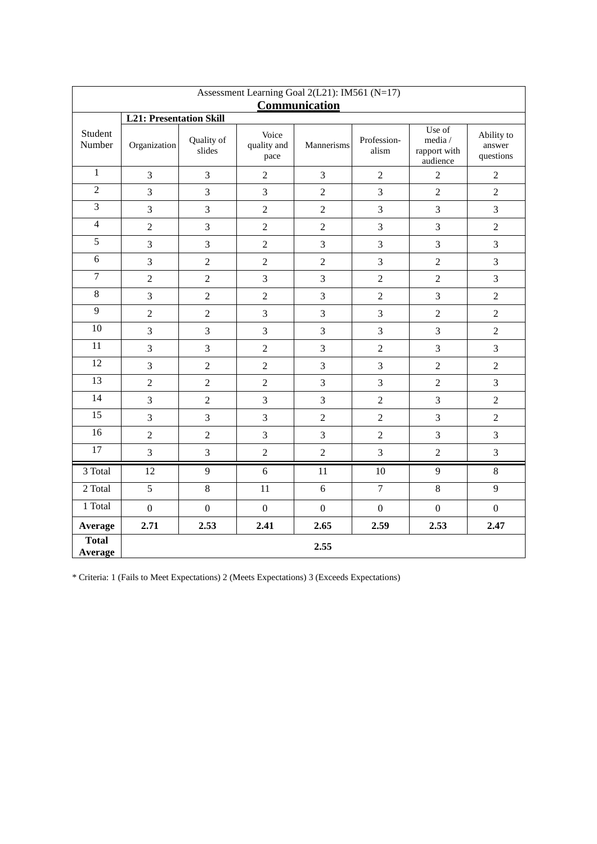| Assessment Learning Goal 2(L21): IM561 (N=17) |                                |                      |                              |                |                      |                                               |                                   |  |  |  |
|-----------------------------------------------|--------------------------------|----------------------|------------------------------|----------------|----------------------|-----------------------------------------------|-----------------------------------|--|--|--|
|                                               | <b>Communication</b>           |                      |                              |                |                      |                                               |                                   |  |  |  |
|                                               | <b>L21: Presentation Skill</b> |                      |                              |                |                      |                                               |                                   |  |  |  |
| Student<br>Number                             | Organization                   | Quality of<br>slides | Voice<br>quality and<br>pace | Mannerisms     | Profession-<br>alism | Use of<br>media /<br>rapport with<br>audience | Ability to<br>answer<br>questions |  |  |  |
| $\mathbf{1}$                                  | 3                              | 3                    | $\overline{2}$               | 3              | $\overline{2}$       | $\overline{2}$                                | $\overline{2}$                    |  |  |  |
| $\overline{2}$                                | $\overline{3}$                 | 3                    | 3                            | $\overline{2}$ | 3                    | $\sqrt{2}$                                    | $\overline{2}$                    |  |  |  |
| 3                                             | 3                              | 3                    | $\overline{2}$               | $\overline{2}$ | 3                    | 3                                             | 3                                 |  |  |  |
| $\overline{4}$                                | $\overline{2}$                 | 3                    | $\overline{2}$               | $\overline{2}$ | 3                    | 3                                             | $\overline{2}$                    |  |  |  |
| 5                                             | 3                              | 3                    | $\overline{2}$               | 3              | 3                    | 3                                             | 3                                 |  |  |  |
| 6                                             | 3                              | $\sqrt{2}$           | $\overline{2}$               | $\overline{2}$ | 3                    | $\overline{2}$                                | 3                                 |  |  |  |
| $\overline{7}$                                | $\overline{2}$                 | $\overline{2}$       | 3                            | 3              | $\overline{c}$       | $\overline{c}$                                | 3                                 |  |  |  |
| $\,8\,$                                       | $\overline{3}$                 | $\overline{2}$       | $\overline{2}$               | 3              | $\overline{c}$       | 3                                             | $\overline{2}$                    |  |  |  |
| 9                                             | $\overline{2}$                 | $\sqrt{2}$           | $\mathfrak{Z}$               | 3              | 3                    | $\sqrt{2}$                                    | $\sqrt{2}$                        |  |  |  |
| 10                                            | 3                              | 3                    | 3                            | 3              | 3                    | 3                                             | $\overline{2}$                    |  |  |  |
| 11                                            | $\overline{3}$                 | 3                    | $\overline{2}$               | $\overline{3}$ | $\overline{2}$       | 3                                             | 3                                 |  |  |  |
| 12                                            | $\overline{3}$                 | $\overline{2}$       | $\overline{2}$               | 3              | 3                    | $\overline{2}$                                | $\overline{2}$                    |  |  |  |
| 13                                            | $\overline{c}$                 | $\sqrt{2}$           | $\overline{2}$               | 3              | 3                    | $\overline{c}$                                | 3                                 |  |  |  |
| 14                                            | $\overline{3}$                 | $\overline{2}$       | 3                            | 3              | $\overline{2}$       | 3                                             | $\overline{2}$                    |  |  |  |
| 15                                            | 3                              | 3                    | 3                            | $\overline{2}$ | $\overline{2}$       | 3                                             | $\overline{2}$                    |  |  |  |
| 16                                            | $\overline{2}$                 | $\overline{2}$       | 3                            | 3              | $\overline{2}$       | 3                                             | 3                                 |  |  |  |
| $\overline{17}$                               | 3                              | $\mathfrak{Z}$       | $\overline{2}$               | $\overline{2}$ | $\overline{3}$       | $\sqrt{2}$                                    | 3                                 |  |  |  |
| 3 Total                                       | 12                             | 9                    | 6                            | 11             | 10                   | 9                                             | 8                                 |  |  |  |
| 2 Total                                       | $\overline{5}$                 | $8\,$                | 11                           | 6              | $\overline{7}$       | $8\,$                                         | 9                                 |  |  |  |
| 1 Total                                       | $\overline{0}$                 | $\boldsymbol{0}$     | $\overline{0}$               | $\overline{0}$ | $\overline{0}$       | $\mathbf{0}$                                  | $\mathbf{0}$                      |  |  |  |
| Average                                       | 2.71                           | 2.53                 | 2.41                         | 2.65           | 2.59                 | 2.53                                          | 2.47                              |  |  |  |
| <b>Total</b><br>Average                       |                                |                      |                              | 2.55           |                      |                                               |                                   |  |  |  |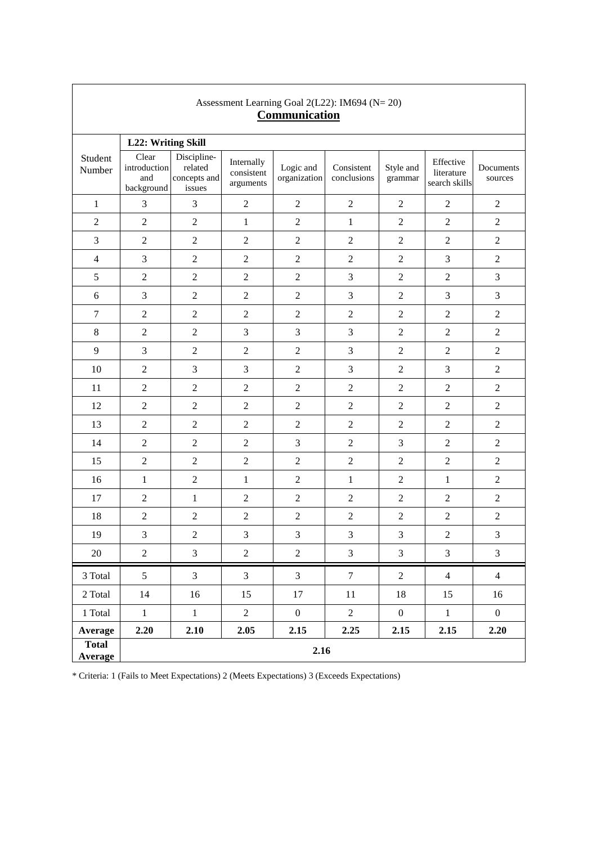| Assessment Learning Goal 2(L22): IM694 (N= 20)<br>Communication |                                            |                                                  |                                       |                           |                           |                      |                                          |                      |  |
|-----------------------------------------------------------------|--------------------------------------------|--------------------------------------------------|---------------------------------------|---------------------------|---------------------------|----------------------|------------------------------------------|----------------------|--|
|                                                                 | L22: Writing Skill                         |                                                  |                                       |                           |                           |                      |                                          |                      |  |
| Student<br>Number                                               | Clear<br>introduction<br>and<br>background | Discipline-<br>related<br>concepts and<br>issues | Internally<br>consistent<br>arguments | Logic and<br>organization | Consistent<br>conclusions | Style and<br>grammar | Effective<br>literature<br>search skills | Documents<br>sources |  |
| $\mathbf{1}$                                                    | 3                                          | 3                                                | $\overline{2}$                        | $\overline{2}$            | $\overline{2}$            | $\overline{2}$       | $\overline{2}$                           | $\overline{2}$       |  |
| $\sqrt{2}$                                                      | $\overline{2}$                             | $\sqrt{2}$                                       | $\mathbf{1}$                          | $\sqrt{2}$                | $\mathbf{1}$              | $\sqrt{2}$           | $\overline{2}$                           | $\sqrt{2}$           |  |
| $\mathfrak{Z}$                                                  | $\boldsymbol{2}$                           | $\sqrt{2}$                                       | $\sqrt{2}$                            | $\overline{2}$            | $\sqrt{2}$                | $\sqrt{2}$           | $\overline{2}$                           | $\sqrt{2}$           |  |
| $\overline{4}$                                                  | 3                                          | $\sqrt{2}$                                       | $\overline{2}$                        | $\overline{2}$            | $\sqrt{2}$                | $\sqrt{2}$           | 3                                        | $\sqrt{2}$           |  |
| $\sqrt{5}$                                                      | $\sqrt{2}$                                 | $\sqrt{2}$                                       | $\overline{2}$                        | $\overline{2}$            | 3                         | $\sqrt{2}$           | $\overline{2}$                           | $\mathfrak{Z}$       |  |
| 6                                                               | 3                                          | $\sqrt{2}$                                       | $\overline{2}$                        | $\sqrt{2}$                | 3                         | $\sqrt{2}$           | 3                                        | $\mathfrak{Z}$       |  |
| $\tau$                                                          | $\overline{2}$                             | $\overline{c}$                                   | $\overline{2}$                        | $\overline{2}$            | $\overline{2}$            | $\overline{2}$       | $\overline{2}$                           | $\overline{2}$       |  |
| $8\,$                                                           | $\sqrt{2}$                                 | $\sqrt{2}$                                       | 3                                     | $\mathfrak{Z}$            | $\mathfrak{Z}$            | $\sqrt{2}$           | $\sqrt{2}$                               | $\sqrt{2}$           |  |
| 9                                                               | 3                                          | $\overline{c}$                                   | $\overline{2}$                        | $\overline{2}$            | 3                         | $\overline{2}$       | $\overline{2}$                           | $\overline{2}$       |  |
| 10                                                              | $\overline{2}$                             | $\mathfrak{Z}$                                   | 3                                     | $\overline{2}$            | $\mathfrak{Z}$            | $\sqrt{2}$           | 3                                        | $\sqrt{2}$           |  |
| 11                                                              | $\sqrt{2}$                                 | $\sqrt{2}$                                       | $\overline{2}$                        | $\overline{2}$            | $\overline{2}$            | $\overline{2}$       | $\overline{2}$                           | $\sqrt{2}$           |  |
| 12                                                              | $\sqrt{2}$                                 | $\sqrt{2}$                                       | $\sqrt{2}$                            | $\sqrt{2}$                | $\sqrt{2}$                | $\sqrt{2}$           | $\sqrt{2}$                               | $\boldsymbol{2}$     |  |
| 13                                                              | $\overline{2}$                             | $\overline{c}$                                   | $\overline{2}$                        | $\overline{2}$            | $\overline{2}$            | $\overline{2}$       | $\overline{2}$                           | $\overline{2}$       |  |
| 14                                                              | $\overline{2}$                             | $\sqrt{2}$                                       | $\overline{2}$                        | 3                         | $\sqrt{2}$                | $\mathfrak{Z}$       | $\overline{2}$                           | $\sqrt{2}$           |  |
| 15                                                              | $\sqrt{2}$                                 | $\sqrt{2}$                                       | $\overline{2}$                        | $\overline{2}$            | $\sqrt{2}$                | $\overline{2}$       | $\sqrt{2}$                               | $\overline{2}$       |  |
| 16                                                              | $\mathbf{1}$                               | $\overline{2}$                                   | $\mathbf{1}$                          | $\overline{2}$            | $\mathbf{1}$              | $\overline{2}$       | $\mathbf{1}$                             | $\sqrt{2}$           |  |
| 17                                                              | $\sqrt{2}$                                 | $\mathbf{1}$                                     | $\overline{2}$                        | $\overline{2}$            | $\sqrt{2}$                | $\overline{2}$       | $\sqrt{2}$                               | $\sqrt{2}$           |  |
| 18                                                              | $\overline{c}$                             | $\sqrt{2}$                                       | $\overline{c}$                        | $\overline{2}$            | $\overline{2}$            | $\overline{2}$       | $\overline{2}$                           | $\sqrt{2}$           |  |
| 19                                                              | 3                                          | $\sqrt{2}$                                       | 3                                     | $\mathfrak{Z}$            | $\mathfrak{Z}$            | $\mathfrak{Z}$       | $\sqrt{2}$                               | $\mathfrak{Z}$       |  |
| 20                                                              | $\overline{2}$                             | $\mathfrak{Z}$                                   | $\overline{2}$                        | $\overline{2}$            | $\mathfrak{Z}$            | $\mathfrak{Z}$       | $\mathfrak{Z}$                           | $\mathfrak{Z}$       |  |
| 3 Total                                                         | 5                                          | $\overline{3}$                                   | $\overline{3}$                        | $\overline{3}$            | $\tau$                    | $\overline{2}$       | $\overline{4}$                           | $\overline{4}$       |  |
| $2\ \mathrm{Total}$                                             | 14                                         | 16                                               | 15                                    | 17                        | $11\,$                    | 18                   | 15                                       | 16                   |  |
| 1 Total                                                         | $\mathbf{1}$                               | $1\,$                                            | $\overline{c}$                        | $\boldsymbol{0}$          | $\overline{2}$            | $\boldsymbol{0}$     | $\,1$                                    | $\mathbf{0}$         |  |
| Average                                                         | 2.20                                       | 2.10                                             | 2.05                                  | 2.15                      | 2.25                      | 2.15                 | 2.15                                     | 2.20                 |  |
| <b>Total</b><br>Average                                         |                                            | 2.16                                             |                                       |                           |                           |                      |                                          |                      |  |

 $\overline{\phantom{a}}$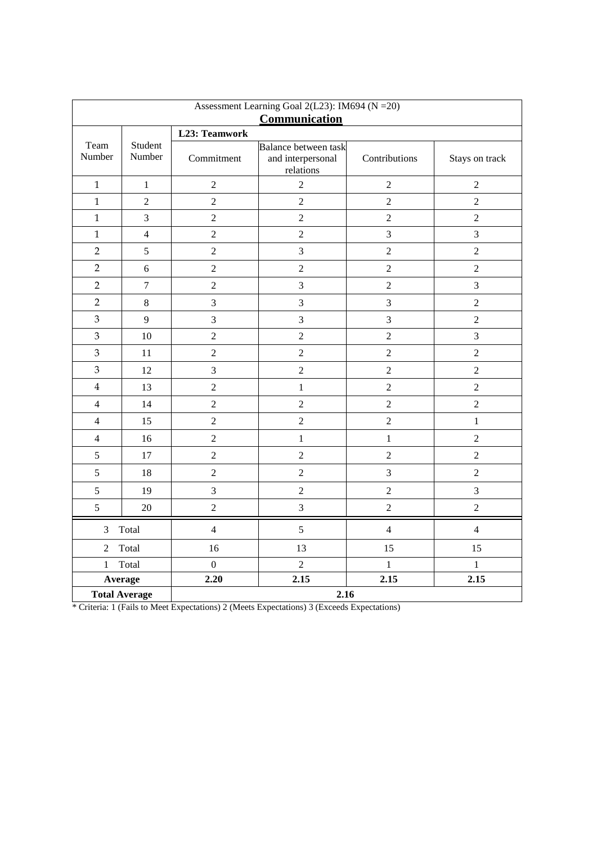| Assessment Learning Goal 2(L23): IM694 (N = 20)<br>Communication |                   |                  |                                                        |                  |                |  |  |  |
|------------------------------------------------------------------|-------------------|------------------|--------------------------------------------------------|------------------|----------------|--|--|--|
| L23: Teamwork                                                    |                   |                  |                                                        |                  |                |  |  |  |
| Team<br>Number                                                   | Student<br>Number | Commitment       | Balance between task<br>and interpersonal<br>relations | Contributions    | Stays on track |  |  |  |
| $\mathbf{1}$                                                     | $\,1\,$           | $\sqrt{2}$       | $\sqrt{2}$                                             | $\boldsymbol{2}$ | $\sqrt{2}$     |  |  |  |
| $\mathbf{1}$                                                     | $\sqrt{2}$        | $\overline{2}$   | $\sqrt{2}$                                             | $\sqrt{2}$       | $\overline{2}$ |  |  |  |
| $\mathbf{1}$                                                     | 3                 | $\overline{2}$   | $\sqrt{2}$                                             | $\boldsymbol{2}$ | $\overline{2}$ |  |  |  |
| $\mathbf{1}$                                                     | $\overline{4}$    | $\overline{2}$   | $\overline{c}$                                         | $\overline{3}$   | $\overline{3}$ |  |  |  |
| $\overline{2}$                                                   | 5                 | $\overline{2}$   | 3                                                      | $\overline{2}$   | $\overline{2}$ |  |  |  |
| $\overline{2}$                                                   | 6                 | $\overline{2}$   | $\overline{2}$                                         | $\boldsymbol{2}$ | $\overline{2}$ |  |  |  |
| $\overline{2}$                                                   | $\boldsymbol{7}$  | $\overline{c}$   | 3                                                      | $\overline{c}$   | $\overline{3}$ |  |  |  |
| $\overline{2}$                                                   | $\,8\,$           | 3                | $\mathfrak{Z}$                                         | $\overline{3}$   | $\overline{2}$ |  |  |  |
| 3                                                                | 9                 | 3                | $\mathfrak{Z}$                                         | 3                | $\overline{2}$ |  |  |  |
| 3                                                                | 10                | $\overline{2}$   | $\overline{2}$                                         | $\overline{2}$   | $\overline{3}$ |  |  |  |
| $\mathfrak{Z}$                                                   | 11                | $\overline{c}$   | $\overline{2}$                                         | $\overline{2}$   | $\overline{2}$ |  |  |  |
| 3                                                                | 12                | 3                | $\overline{c}$                                         | $\overline{c}$   | $\overline{2}$ |  |  |  |
| $\overline{\mathbf{4}}$                                          | 13                | $\overline{2}$   | $\mathbf{1}$                                           | $\overline{c}$   | $\overline{2}$ |  |  |  |
| $\overline{4}$                                                   | 14                | $\overline{2}$   | $\overline{2}$                                         | $\mathbf 2$      | $\overline{2}$ |  |  |  |
| $\overline{4}$                                                   | 15                | $\overline{2}$   | $\overline{c}$                                         | $\sqrt{2}$       | $\mathbf{1}$   |  |  |  |
| $\overline{4}$                                                   | 16                | $\overline{c}$   | $\mathbf{1}$                                           | $\mathbf{1}$     | $\overline{2}$ |  |  |  |
| 5                                                                | 17                | $\overline{c}$   | $\sqrt{2}$                                             | $\sqrt{2}$       | $\overline{2}$ |  |  |  |
| $\mathfrak s$                                                    | 18                | $\sqrt{2}$       | $\sqrt{2}$                                             | $\mathfrak{Z}$   | $\overline{2}$ |  |  |  |
| $\sqrt{5}$                                                       | 19                | $\mathfrak{Z}$   | $\sqrt{2}$                                             | $\overline{2}$   | 3              |  |  |  |
| 5                                                                | 20                | $\overline{c}$   | 3                                                      | $\sqrt{2}$       | $\overline{2}$ |  |  |  |
| 3                                                                | Total             | $\overline{4}$   | 5                                                      | $\overline{4}$   | $\overline{4}$ |  |  |  |
| $\overline{2}$                                                   | Total             | 16               | 13                                                     | 15               | 15             |  |  |  |
| 1                                                                | Total             | $\boldsymbol{0}$ | $\overline{2}$                                         | $\mathbf{1}$     | $\mathbf{1}$   |  |  |  |
|                                                                  | Average           | 2.20             | 2.15                                                   | 2.15             | 2.15           |  |  |  |
| 2.16<br><b>Total Average</b>                                     |                   |                  |                                                        |                  |                |  |  |  |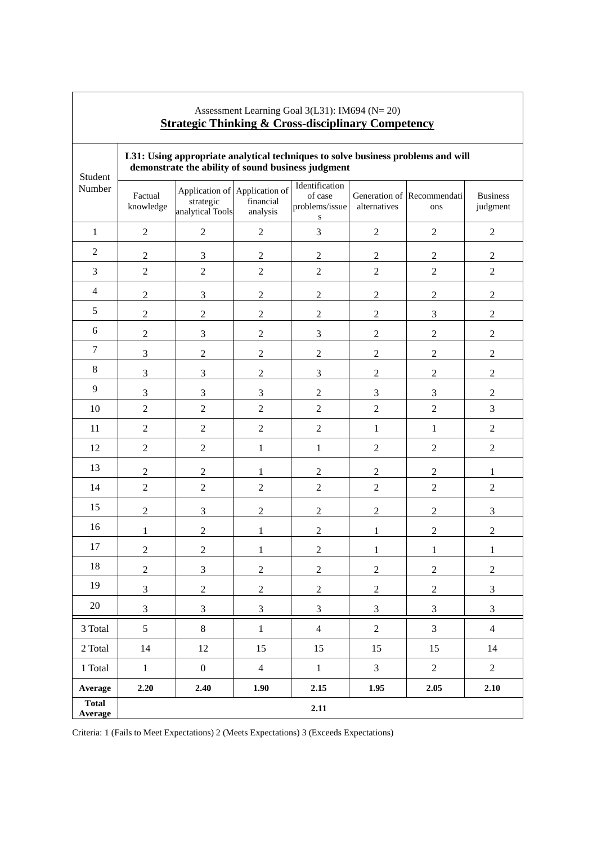| <u>bu alegr</u><br>т шшинц<br><u>u Cross-uiscipiniai y</u><br><u>Competency</u> |                      |                                                                                                                                        |                                                        |                                                          |                  |                                                              |                             |  |
|---------------------------------------------------------------------------------|----------------------|----------------------------------------------------------------------------------------------------------------------------------------|--------------------------------------------------------|----------------------------------------------------------|------------------|--------------------------------------------------------------|-----------------------------|--|
| Student                                                                         |                      | L31: Using appropriate analytical techniques to solve business problems and will<br>demonstrate the ability of sound business judgment |                                                        |                                                          |                  |                                                              |                             |  |
| Number                                                                          | Factual<br>knowledge | strategic<br>analytical Tools                                                                                                          | Application of Application of<br>financial<br>analysis | Identification<br>of case<br>problems/issue<br>${\bf S}$ | alternatives     | Generation of Recommendati<br>ons                            | <b>Business</b><br>judgment |  |
| $\mathbf{1}$                                                                    | $\sqrt{2}$           | $\sqrt{2}$                                                                                                                             | $\sqrt{2}$                                             | $\mathfrak{Z}$                                           | $\sqrt{2}$       | $\overline{2}$                                               | $\sqrt{2}$                  |  |
| $\overline{2}$                                                                  | $\sqrt{2}$           | $\mathfrak{Z}$                                                                                                                         | $\sqrt{2}$                                             | $\sqrt{2}$                                               | $\boldsymbol{2}$ | $\sqrt{2}$                                                   | $\overline{2}$              |  |
| $\mathfrak{Z}$                                                                  | $\overline{2}$       | $\overline{2}$                                                                                                                         | $\overline{2}$                                         | $\overline{2}$                                           | $\overline{2}$   | $\overline{2}$                                               | $\overline{2}$              |  |
| $\overline{4}$                                                                  | $\boldsymbol{2}$     | $\mathfrak 3$                                                                                                                          | $\sqrt{2}$                                             | $\sqrt{2}$                                               | $\boldsymbol{2}$ | $\mathfrak{2}% =\mathfrak{2}\left( \mathfrak{2}\right) ^{2}$ | $\sqrt{2}$                  |  |
| 5                                                                               | $\mathbf{2}$         | $\sqrt{2}$                                                                                                                             | $\boldsymbol{2}$                                       | $\mathbf{2}$                                             | $\boldsymbol{2}$ | $\mathfrak{Z}$                                               | $\sqrt{2}$                  |  |
| 6                                                                               | $\sqrt{2}$           | $\mathfrak{Z}$                                                                                                                         | $\sqrt{2}$                                             | $\overline{3}$                                           | $\sqrt{2}$       | $\sqrt{2}$                                                   | $\sqrt{2}$                  |  |
| $\boldsymbol{7}$                                                                | 3                    | $\overline{c}$                                                                                                                         | $\overline{c}$                                         | $\sqrt{2}$                                               | $\boldsymbol{2}$ | $\overline{c}$                                               | $\sqrt{2}$                  |  |
| $\,8\,$                                                                         | $\mathfrak{Z}$       | $\mathfrak{Z}$                                                                                                                         | $\sqrt{2}$                                             | $\ensuremath{\mathfrak{Z}}$                              | $\boldsymbol{2}$ | $\sqrt{2}$                                                   | $\sqrt{2}$                  |  |
| 9                                                                               | $\mathfrak{Z}$       | $\mathfrak{Z}$                                                                                                                         | $\mathfrak{Z}$                                         | $\overline{2}$                                           | $\mathfrak{Z}$   | $\mathfrak{Z}$                                               | $\overline{2}$              |  |
| 10                                                                              | $\overline{c}$       | $\overline{2}$                                                                                                                         | $\overline{2}$                                         | $\overline{2}$                                           | $\overline{2}$   | $\overline{c}$                                               | 3                           |  |
| 11                                                                              | $\mathfrak{2}$       | $\overline{2}$                                                                                                                         | $\overline{2}$                                         | $\overline{2}$                                           | $\mathbf{1}$     | $\mathbf{1}$                                                 | $\overline{2}$              |  |
| 12                                                                              | $\overline{2}$       | $\sqrt{2}$                                                                                                                             | $\mathbf{1}$                                           | $\mathbf 1$                                              | $\sqrt{2}$       | $\overline{2}$                                               | $\sqrt{2}$                  |  |
| 13                                                                              | $\sqrt{2}$           | $\overline{c}$                                                                                                                         | $\mathbf{1}$                                           | $\mathbf{2}$                                             | $\boldsymbol{2}$ | $\sqrt{2}$                                                   | 1                           |  |
| 14                                                                              | $\overline{2}$       | $\overline{2}$                                                                                                                         | $\sqrt{2}$                                             | $\overline{2}$                                           | $\sqrt{2}$       | $\overline{2}$                                               | $\sqrt{2}$                  |  |
| 15                                                                              | $\overline{c}$       | $\mathfrak{Z}$                                                                                                                         | $\sqrt{2}$                                             | $\overline{c}$                                           | $\sqrt{2}$       | $\overline{c}$                                               | $\ensuremath{\mathfrak{Z}}$ |  |
| 16                                                                              | $\mathbf{1}$         | $\sqrt{2}$                                                                                                                             | $\mathbf{1}$                                           | $\mathbf{2}$                                             | $\mathbf{1}$     | $\boldsymbol{2}$                                             | $\sqrt{2}$                  |  |
| 17                                                                              | $\sqrt{2}$           | $\overline{2}$                                                                                                                         | $\mathbf{1}$                                           | $\sqrt{2}$                                               | 1                | $\mathbf{1}$                                                 | $\mathbf{1}$                |  |
| 18                                                                              | $\boldsymbol{2}$     | 3                                                                                                                                      | $\overline{c}$                                         | $\boldsymbol{2}$                                         | $\sqrt{2}$       | $\sqrt{2}$                                                   | $\sqrt{2}$                  |  |
| 19                                                                              | 3                    | $\sqrt{2}$                                                                                                                             | $\overline{c}$                                         | $\boldsymbol{2}$                                         | $\boldsymbol{2}$ | $\overline{c}$                                               | $\mathfrak 3$               |  |
| $20\,$                                                                          | 3                    | $\mathfrak{Z}$                                                                                                                         | $\mathfrak{Z}$                                         | $\mathfrak{Z}$                                           | $\mathfrak{Z}$   | 3                                                            | $\ensuremath{\mathfrak{Z}}$ |  |
| 3 Total                                                                         | $\mathfrak{S}$       | $8\,$                                                                                                                                  | $\mathbf 1$                                            | $\overline{4}$                                           | $\overline{2}$   | $\overline{3}$                                               | $\overline{4}$              |  |
| $2\ \mathrm{Total}$                                                             | 14                   | $12\,$                                                                                                                                 | 15                                                     | 15                                                       | 15               | 15                                                           | 14                          |  |
| 1 Total                                                                         | $\mathbf{1}$         | $\boldsymbol{0}$                                                                                                                       | $\overline{4}$                                         | $\mathbf{1}$                                             | $\mathfrak{Z}$   | $\sqrt{2}$                                                   | $\overline{2}$              |  |
| Average                                                                         | 2.20                 | 2.40                                                                                                                                   | 1.90                                                   | 2.15                                                     | 1.95             | 2.05                                                         | 2.10                        |  |
| <b>Total</b><br>Average                                                         |                      |                                                                                                                                        |                                                        | 2.11                                                     |                  |                                                              |                             |  |

# Assessment Learning Goal 3(L31): IM694 (N= 20) **Strategic Thinking & Cross-disciplinary Competency**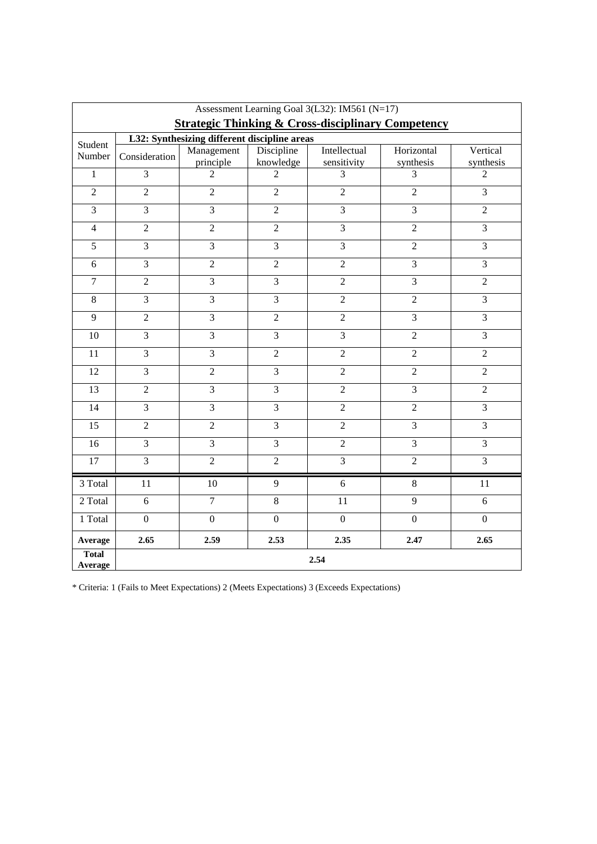| Assessment Learning Goal 3(L32): IM561 (N=17)<br><b>Strategic Thinking &amp; Cross-disciplinary Competency</b> |                         |                                              |                         |                             |                         |                       |  |
|----------------------------------------------------------------------------------------------------------------|-------------------------|----------------------------------------------|-------------------------|-----------------------------|-------------------------|-----------------------|--|
|                                                                                                                |                         | L32: Synthesizing different discipline areas |                         |                             |                         |                       |  |
| Student<br>Number                                                                                              | Consideration           | Management<br>principle                      | Discipline<br>knowledge | Intellectual<br>sensitivity | Horizontal<br>synthesis | Vertical<br>synthesis |  |
| $\mathbf{1}$                                                                                                   | $\overline{3}$          | $\overline{2}$                               | $\overline{2}$          | $\overline{3}$              | 3                       | $\overline{2}$        |  |
| $\overline{2}$                                                                                                 | $\overline{2}$          | $\overline{2}$                               | $\overline{2}$          | $\overline{2}$              | $\overline{2}$          | $\overline{3}$        |  |
| $\overline{3}$                                                                                                 | $\overline{3}$          | $\overline{3}$                               | $\overline{2}$          | $\overline{3}$              | $\overline{3}$          | $\overline{2}$        |  |
| $\overline{4}$                                                                                                 | $\overline{2}$          | $\overline{2}$                               | $\overline{2}$          | $\overline{3}$              | $\overline{2}$          | 3                     |  |
| 5                                                                                                              | $\mathfrak{Z}$          | 3                                            | $\overline{\mathbf{3}}$ | 3                           | $\overline{2}$          | 3                     |  |
| 6                                                                                                              | $\overline{3}$          | $\overline{2}$                               | $\overline{2}$          | $\overline{2}$              | $\overline{3}$          | $\overline{3}$        |  |
| $\overline{7}$                                                                                                 | $\overline{2}$          | $\overline{3}$                               | 3                       | $\overline{2}$              | $\overline{3}$          | $\overline{2}$        |  |
| 8                                                                                                              | 3                       | $\overline{3}$                               | 3                       | $\overline{2}$              | $\overline{2}$          | $\overline{3}$        |  |
| 9                                                                                                              | $\overline{2}$          | $\overline{3}$                               | $\overline{2}$          | $\overline{2}$              | $\overline{3}$          | $\overline{3}$        |  |
| $10\,$                                                                                                         | 3                       | $\overline{3}$                               | $\overline{3}$          | $\overline{3}$              | $\overline{2}$          | $\overline{3}$        |  |
| 11                                                                                                             | $\overline{\mathbf{3}}$ | $\overline{3}$                               | $\overline{2}$          | $\overline{2}$              | $\overline{2}$          | $\overline{2}$        |  |
| 12                                                                                                             | $\mathfrak{Z}$          | $\overline{2}$                               | 3                       | $\overline{2}$              | $\overline{c}$          | $\overline{2}$        |  |
| 13                                                                                                             | $\sqrt{2}$              | $\overline{3}$                               | $\overline{3}$          | $\overline{2}$              | $\overline{3}$          | $\overline{2}$        |  |
| 14                                                                                                             | 3                       | $\overline{3}$                               | 3                       | $\overline{2}$              | $\overline{2}$          | $\overline{3}$        |  |
| $\overline{15}$                                                                                                | $\overline{2}$          | $\overline{2}$                               | $\overline{3}$          | $\overline{2}$              | $\overline{3}$          | $\overline{3}$        |  |
| 16                                                                                                             | 3                       | 3                                            | 3                       | $\overline{2}$              | $\overline{3}$          | $\overline{3}$        |  |
| $17\,$                                                                                                         | 3                       | $\overline{c}$                               | $\overline{2}$          | $\overline{3}$              | $\overline{2}$          | 3                     |  |
| 3 Total                                                                                                        | 11                      | 10                                           | 9                       | 6                           | 8                       | 11                    |  |
| 2 Total                                                                                                        | 6                       | $\overline{7}$                               | $\overline{8}$          | 11                          | $\overline{9}$          | 6                     |  |
| 1 Total                                                                                                        | $\boldsymbol{0}$        | $\boldsymbol{0}$                             | $\overline{0}$          | $\overline{0}$              | $\overline{0}$          | $\overline{0}$        |  |
| Average                                                                                                        | 2.65                    | 2.59                                         | 2.53                    | 2.35                        | 2.47                    | 2.65                  |  |
| <b>Total</b><br>Average                                                                                        | 2.54                    |                                              |                         |                             |                         |                       |  |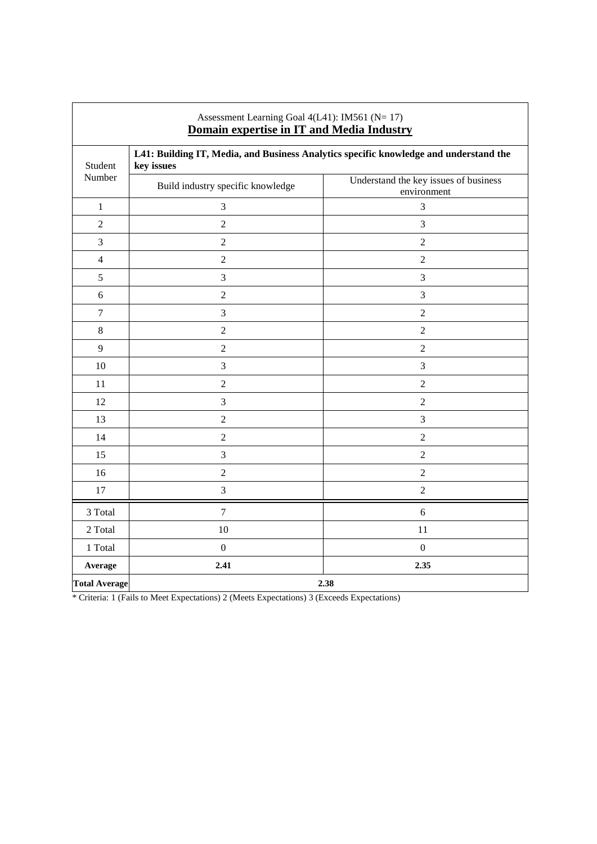| Assessment Learning Goal 4(L41): IM561 (N= 17)<br>Domain expertise in IT and Media Industry |                                                                                                     |                                                      |  |
|---------------------------------------------------------------------------------------------|-----------------------------------------------------------------------------------------------------|------------------------------------------------------|--|
| Student<br>Number                                                                           | L41: Building IT, Media, and Business Analytics specific knowledge and understand the<br>key issues |                                                      |  |
|                                                                                             | Build industry specific knowledge                                                                   | Understand the key issues of business<br>environment |  |
| $\mathbf{1}$                                                                                | $\mathfrak{Z}$                                                                                      | 3                                                    |  |
| $\overline{2}$                                                                              | $\overline{2}$                                                                                      | 3                                                    |  |
| 3                                                                                           | $\overline{2}$                                                                                      | $\overline{2}$                                       |  |
| $\overline{4}$                                                                              | $\overline{2}$                                                                                      | $\overline{2}$                                       |  |
| 5                                                                                           | $\mathfrak{Z}$                                                                                      | 3                                                    |  |
| 6                                                                                           | $\overline{2}$                                                                                      | $\mathfrak{Z}$                                       |  |
| $\boldsymbol{7}$                                                                            | $\mathfrak{Z}$                                                                                      | $\overline{2}$                                       |  |
| $\,8\,$                                                                                     | $\overline{2}$                                                                                      | $\overline{2}$                                       |  |
| 9                                                                                           | $\overline{2}$                                                                                      | $\overline{2}$                                       |  |
| 10                                                                                          | 3                                                                                                   | 3                                                    |  |
| 11                                                                                          | $\overline{2}$                                                                                      | $\overline{2}$                                       |  |
| 12                                                                                          | $\mathfrak{Z}$                                                                                      | $\overline{2}$                                       |  |
| 13                                                                                          | $\overline{2}$                                                                                      | 3                                                    |  |
| 14                                                                                          | $\overline{2}$                                                                                      | $\overline{2}$                                       |  |
| 15                                                                                          | $\mathfrak{Z}$                                                                                      | $\overline{c}$                                       |  |
| 16                                                                                          | $\overline{2}$                                                                                      | $\overline{2}$                                       |  |
| 17                                                                                          | $\mathfrak{Z}$                                                                                      | $\overline{c}$                                       |  |
| 3 Total                                                                                     | $\overline{7}$                                                                                      | 6                                                    |  |
| 2 Total                                                                                     | 10                                                                                                  | 11                                                   |  |
| 1 Total                                                                                     | $\mathbf{0}$                                                                                        | $\boldsymbol{0}$                                     |  |
| Average                                                                                     | 2.41                                                                                                | 2.35                                                 |  |
| <b>Total Average</b>                                                                        | 2.38                                                                                                |                                                      |  |